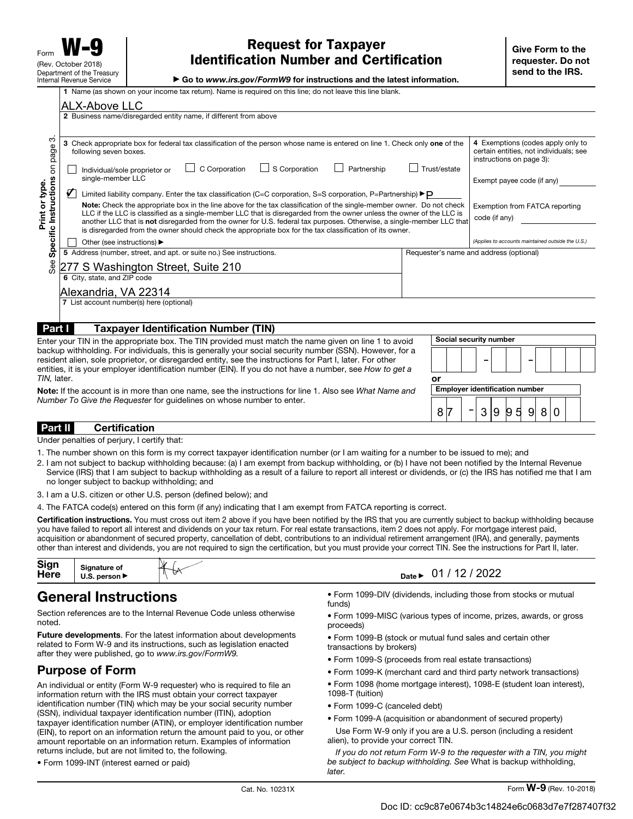$\mu$  is wattle world to instructions and the latest information.

| <b>P</b> GO to www.irs.gov/r ormwe for msudductions and the latest imormation.               |
|----------------------------------------------------------------------------------------------|
| own on your income tax return). Name is required on this line; do not leave this line blank. |

|                                                                        | <b>ALX-Above LLC</b>                                                                                                                                                                                                                                                                                                                                                                                                                                                                                                                                                                                                                                                                                                                                                                                                                                                                                                |                                                                                                                                                                                          |  |  |
|------------------------------------------------------------------------|---------------------------------------------------------------------------------------------------------------------------------------------------------------------------------------------------------------------------------------------------------------------------------------------------------------------------------------------------------------------------------------------------------------------------------------------------------------------------------------------------------------------------------------------------------------------------------------------------------------------------------------------------------------------------------------------------------------------------------------------------------------------------------------------------------------------------------------------------------------------------------------------------------------------|------------------------------------------------------------------------------------------------------------------------------------------------------------------------------------------|--|--|
|                                                                        | 2 Business name/disregarded entity name, if different from above                                                                                                                                                                                                                                                                                                                                                                                                                                                                                                                                                                                                                                                                                                                                                                                                                                                    |                                                                                                                                                                                          |  |  |
| ო<br>page<br>$\overline{5}$<br>Specific Instructions<br>Print or type. | 3 Check appropriate box for federal tax classification of the person whose name is entered on line 1. Check only one of the<br>following seven boxes.<br>$\Box$ S Corporation<br>C Corporation<br>Partnership<br>Trust/estate<br>Individual/sole proprietor or<br>single-member LLC<br>V<br>Limited liability company. Enter the tax classification (C=C corporation, S=S corporation, P=Partnership) $\blacktriangleright$ P<br>Note: Check the appropriate box in the line above for the tax classification of the single-member owner. Do not check<br>LLC if the LLC is classified as a single-member LLC that is disregarded from the owner unless the owner of the LLC is<br>another LLC that is not disregarded from the owner for U.S. federal tax purposes. Otherwise, a single-member LLC that<br>is disregarded from the owner should check the appropriate box for the tax classification of its owner. | 4 Exemptions (codes apply only to<br>certain entities, not individuals; see<br>instructions on page 3):<br>Exempt payee code (if any)<br>Exemption from FATCA reporting<br>code (if any) |  |  |
|                                                                        | Other (see instructions) ▶                                                                                                                                                                                                                                                                                                                                                                                                                                                                                                                                                                                                                                                                                                                                                                                                                                                                                          | (Applies to accounts maintained outside the U.S.)                                                                                                                                        |  |  |
|                                                                        | 5 Address (number, street, and apt. or suite no.) See instructions.                                                                                                                                                                                                                                                                                                                                                                                                                                                                                                                                                                                                                                                                                                                                                                                                                                                 | Requester's name and address (optional)                                                                                                                                                  |  |  |
| See                                                                    | 277 S Washington Street, Suite 210                                                                                                                                                                                                                                                                                                                                                                                                                                                                                                                                                                                                                                                                                                                                                                                                                                                                                  |                                                                                                                                                                                          |  |  |
|                                                                        | 6 City, state, and ZIP code                                                                                                                                                                                                                                                                                                                                                                                                                                                                                                                                                                                                                                                                                                                                                                                                                                                                                         |                                                                                                                                                                                          |  |  |
|                                                                        | Alexandria, VA 22314                                                                                                                                                                                                                                                                                                                                                                                                                                                                                                                                                                                                                                                                                                                                                                                                                                                                                                |                                                                                                                                                                                          |  |  |
|                                                                        | 7 List account number(s) here (optional)                                                                                                                                                                                                                                                                                                                                                                                                                                                                                                                                                                                                                                                                                                                                                                                                                                                                            |                                                                                                                                                                                          |  |  |
| Part I                                                                 | <b>Taxpayer Identification Number (TIN)</b>                                                                                                                                                                                                                                                                                                                                                                                                                                                                                                                                                                                                                                                                                                                                                                                                                                                                         |                                                                                                                                                                                          |  |  |
| TIN, later.                                                            | Enter your TIN in the appropriate box. The TIN provided must match the name given on line 1 to avoid<br>backup withholding. For individuals, this is generally your social security number (SSN). However, for a<br>resident alien, sole proprietor, or disregarded entity, see the instructions for Part I, later. For other<br>entities, it is your employer identification number (EIN). If you do not have a number, see How to get a<br>or                                                                                                                                                                                                                                                                                                                                                                                                                                                                     | Social security number                                                                                                                                                                   |  |  |

Note: If the account is in more than one name, see the instructions for line 1. Also see What Name and Number To Give the Requester for guidelines on whose number to enter.

#### Part II Certification

Under penalties of perjury, I certify that:

- 1. The number shown on this form is my correct taxpayer identification number (or I am waiting for a number to be issued to me); and
- 2. I am not subject to backup withholding because: (a) I am exempt from backup withholding, or (b) I have not been notified by the Internal Revenue Service (IRS) that I am subject to backup withholding as a result of a failure to report all interest or dividends, or (c) the IRS has notified me that I am no longer subject to backup withholding; and
- 3. I am a U.S. citizen or other U.S. person (defined below); and
- 4. The FATCA code(s) entered on this form (if any) indicating that I am exempt from FATCA reporting is correct.

Certification instructions. You must cross out item 2 above if you have been notified by the IRS that you are currently subject to backup withholding because you have failed to report all interest and dividends on your tax return. For real estate transactions, item 2 does not apply. For mortgage interest paid, acquisition or abandonment of secured property, cancellation of debt, contributions to an individual retirement arrangement (IRA), and generally, payments other than interest and dividends, you are not required to sign the certification, but you must provide your correct TIN. See the instructions for Part II, later.

| Sign<br>Here | anature of<br>าerson ⊧ | ₩<br>∀ | $\sim$<br>2022 <sup>-</sup><br>. .<br>-<br>Date |
|--------------|------------------------|--------|-------------------------------------------------|
|--------------|------------------------|--------|-------------------------------------------------|

## General Instructions

Section references are to the Internal Revenue Code unless otherwise noted.

Future developments. For the latest information about developments related to Form W-9 and its instructions, such as legislation enacted after they were published, go to www.irs.gov/FormW9.

## Purpose of Form

An individual or entity (Form W-9 requester) who is required to file an information return with the IRS must obtain your correct taxpayer identification number (TIN) which may be your social security number (SSN), individual taxpayer identification number (ITIN), adoption taxpayer identification number (ATIN), or employer identification number (EIN), to report on an information return the amount paid to you, or other amount reportable on an information return. Examples of information returns include, but are not limited to, the following.

• Form 1099-INT (interest earned or paid)

- Form 1099-DIV (dividends, including those from stocks or mutual funds)
- Form 1099-MISC (various types of income, prizes, awards, or gross proceeds)

Employer identification number

8 7 | 7 | 3 | 9 | 9 | 5 | 9 | 8 | 0

–

- Form 1099-B (stock or mutual fund sales and certain other transactions by brokers)
- Form 1099-S (proceeds from real estate transactions)
- Form 1099-K (merchant card and third party network transactions)
- Form 1098 (home mortgage interest), 1098-E (student loan interest),
- 1098-T (tuition)
- Form 1099-C (canceled debt)
- Form 1099-A (acquisition or abandonment of secured property)
- Use Form W-9 only if you are a U.S. person (including a resident alien), to provide your correct TIN.

If you do not return Form W-9 to the requester with a TIN, you might be subject to backup withholding. See What is backup withholding, **later**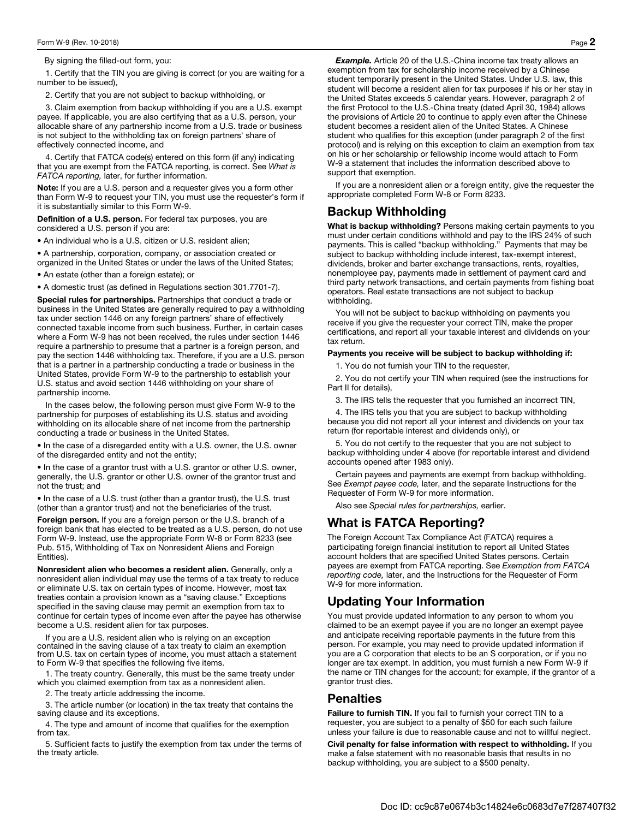By signing the filled-out form, you:

1. Certify that the TIN you are giving is correct (or you are waiting for a number to be issued),

2. Certify that you are not subject to backup withholding, or

3. Claim exemption from backup withholding if you are a U.S. exempt payee. If applicable, you are also certifying that as a U.S. person, your allocable share of any partnership income from a U.S. trade or business is not subject to the withholding tax on foreign partners' share of effectively connected income, and

4. Certify that FATCA code(s) entered on this form (if any) indicating that you are exempt from the FATCA reporting, is correct. See What is FATCA reporting, later, for further information.

Note: If you are a U.S. person and a requester gives you a form other than Form W-9 to request your TIN, you must use the requester's form if it is substantially similar to this Form W-9.

Definition of a U.S. person. For federal tax purposes, you are considered a U.S. person if you are:

• An individual who is a U.S. citizen or U.S. resident alien;

• A partnership, corporation, company, or association created or organized in the United States or under the laws of the United States;

• An estate (other than a foreign estate); or

• A domestic trust (as defined in Regulations section 301.7701-7).

Special rules for partnerships. Partnerships that conduct a trade or business in the United States are generally required to pay a withholding tax under section 1446 on any foreign partners' share of effectively connected taxable income from such business. Further, in certain cases where a Form W-9 has not been received, the rules under section 1446 require a partnership to presume that a partner is a foreign person, and pay the section 1446 withholding tax. Therefore, if you are a U.S. person that is a partner in a partnership conducting a trade or business in the United States, provide Form W-9 to the partnership to establish your U.S. status and avoid section 1446 withholding on your share of partnership income.

In the cases below, the following person must give Form W-9 to the partnership for purposes of establishing its U.S. status and avoiding withholding on its allocable share of net income from the partnership conducting a trade or business in the United States.

• In the case of a disregarded entity with a U.S. owner, the U.S. owner of the disregarded entity and not the entity;

• In the case of a grantor trust with a U.S. grantor or other U.S. owner, generally, the U.S. grantor or other U.S. owner of the grantor trust and not the trust; and

• In the case of a U.S. trust (other than a grantor trust), the U.S. trust (other than a grantor trust) and not the beneficiaries of the trust.

Foreign person. If you are a foreign person or the U.S. branch of a foreign bank that has elected to be treated as a U.S. person, do not use Form W-9. Instead, use the appropriate Form W-8 or Form 8233 (see Pub. 515, Withholding of Tax on Nonresident Aliens and Foreign Entities).

Nonresident alien who becomes a resident alien. Generally, only a nonresident alien individual may use the terms of a tax treaty to reduce or eliminate U.S. tax on certain types of income. However, most tax treaties contain a provision known as a "saving clause." Exceptions specified in the saving clause may permit an exemption from tax to continue for certain types of income even after the payee has otherwise become a U.S. resident alien for tax purposes.

If you are a U.S. resident alien who is relying on an exception contained in the saving clause of a tax treaty to claim an exemption from U.S. tax on certain types of income, you must attach a statement to Form W-9 that specifies the following five items.

1. The treaty country. Generally, this must be the same treaty under which you claimed exemption from tax as a nonresident alien.

2. The treaty article addressing the income.

3. The article number (or location) in the tax treaty that contains the saving clause and its exceptions.

4. The type and amount of income that qualifies for the exemption from tax.

5. Sufficient facts to justify the exemption from tax under the terms of the treaty article.

**Example.** Article 20 of the U.S.-China income tax treaty allows an exemption from tax for scholarship income received by a Chinese student temporarily present in the United States. Under U.S. law, this student will become a resident alien for tax purposes if his or her stay in the United States exceeds 5 calendar years. However, paragraph 2 of the first Protocol to the U.S.-China treaty (dated April 30, 1984) allows the provisions of Article 20 to continue to apply even after the Chinese student becomes a resident alien of the United States. A Chinese student who qualifies for this exception (under paragraph 2 of the first protocol) and is relying on this exception to claim an exemption from tax on his or her scholarship or fellowship income would attach to Form W-9 a statement that includes the information described above to support that exemption.

If you are a nonresident alien or a foreign entity, give the requester the appropriate completed Form W-8 or Form 8233.

## Backup Withholding

What is backup withholding? Persons making certain payments to you must under certain conditions withhold and pay to the IRS 24% of such payments. This is called "backup withholding." Payments that may be subject to backup withholding include interest, tax-exempt interest, dividends, broker and barter exchange transactions, rents, royalties, nonemployee pay, payments made in settlement of payment card and third party network transactions, and certain payments from fishing boat operators. Real estate transactions are not subject to backup withholding.

You will not be subject to backup withholding on payments you receive if you give the requester your correct TIN, make the proper certifications, and report all your taxable interest and dividends on your tax return.

#### Payments you receive will be subject to backup withholding if:

1. You do not furnish your TIN to the requester,

2. You do not certify your TIN when required (see the instructions for Part II for details),

3. The IRS tells the requester that you furnished an incorrect TIN,

4. The IRS tells you that you are subject to backup withholding because you did not report all your interest and dividends on your tax return (for reportable interest and dividends only), or

5. You do not certify to the requester that you are not subject to backup withholding under 4 above (for reportable interest and dividend accounts opened after 1983 only).

Certain payees and payments are exempt from backup withholding. See Exempt payee code, later, and the separate Instructions for the Requester of Form W-9 for more information.

Also see Special rules for partnerships, earlier.

## What is FATCA Reporting?

The Foreign Account Tax Compliance Act (FATCA) requires a participating foreign financial institution to report all United States account holders that are specified United States persons. Certain payees are exempt from FATCA reporting. See Exemption from FATCA reporting code, later, and the Instructions for the Requester of Form W-9 for more information.

## Updating Your Information

You must provide updated information to any person to whom you claimed to be an exempt payee if you are no longer an exempt payee and anticipate receiving reportable payments in the future from this person. For example, you may need to provide updated information if you are a C corporation that elects to be an S corporation, or if you no longer are tax exempt. In addition, you must furnish a new Form W-9 if the name or TIN changes for the account; for example, if the grantor of a grantor trust dies.

### **Penalties**

Failure to furnish TIN. If you fail to furnish your correct TIN to a requester, you are subject to a penalty of \$50 for each such failure unless your failure is due to reasonable cause and not to willful neglect.

Civil penalty for false information with respect to withholding. If you make a false statement with no reasonable basis that results in no backup withholding, you are subject to a \$500 penalty.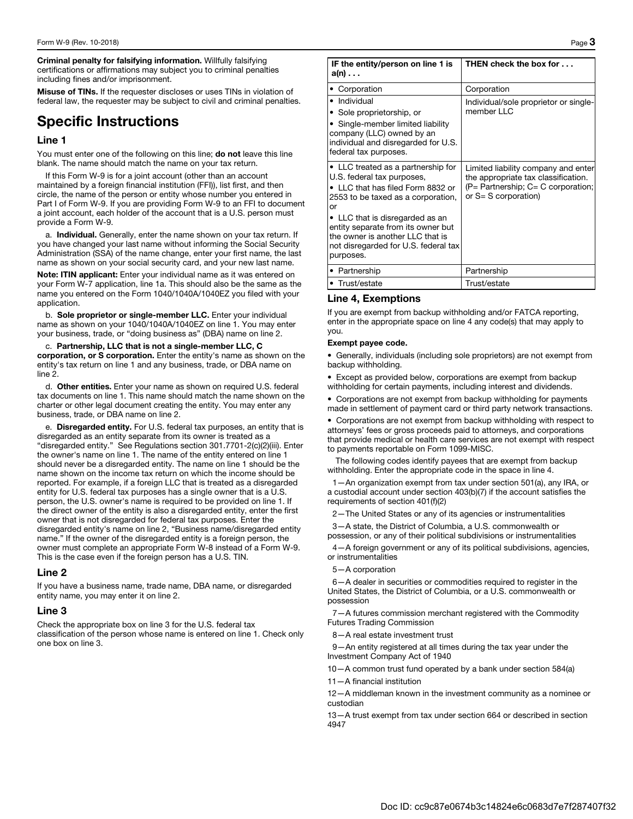Criminal penalty for falsifying information. Willfully falsifying certifications or affirmations may subject you to criminal penalties including fines and/or imprisonment.

Misuse of TINs. If the requester discloses or uses TINs in violation of federal law, the requester may be subject to civil and criminal penalties.

## Specific Instructions

#### Line 1

You must enter one of the following on this line; do not leave this line blank. The name should match the name on your tax return.

If this Form W-9 is for a joint account (other than an account maintained by a foreign financial institution (FFI)), list first, and then circle, the name of the person or entity whose number you entered in Part I of Form W-9. If you are providing Form W-9 to an FFI to document a joint account, each holder of the account that is a U.S. person must provide a Form W-9.

a. Individual. Generally, enter the name shown on your tax return. If you have changed your last name without informing the Social Security Administration (SSA) of the name change, enter your first name, the last name as shown on your social security card, and your new last name.

Note: ITIN applicant: Enter your individual name as it was entered on your Form W-7 application, line 1a. This should also be the same as the name you entered on the Form 1040/1040A/1040EZ you filed with your application.

b. Sole proprietor or single-member LLC. Enter your individual name as shown on your 1040/1040A/1040EZ on line 1. You may enter your business, trade, or "doing business as" (DBA) name on line 2.

c. Partnership, LLC that is not a single-member LLC, C corporation, or S corporation. Enter the entity's name as shown on the entity's tax return on line 1 and any business, trade, or DBA name on line 2.

d. Other entities. Enter your name as shown on required U.S. federal tax documents on line 1. This name should match the name shown on the charter or other legal document creating the entity. You may enter any business, trade, or DBA name on line 2.

e. Disregarded entity. For U.S. federal tax purposes, an entity that is disregarded as an entity separate from its owner is treated as a "disregarded entity." See Regulations section 301.7701-2(c)(2)(iii). Enter the owner's name on line 1. The name of the entity entered on line 1 should never be a disregarded entity. The name on line 1 should be the name shown on the income tax return on which the income should be reported. For example, if a foreign LLC that is treated as a disregarded entity for U.S. federal tax purposes has a single owner that is a U.S. person, the U.S. owner's name is required to be provided on line 1. If the direct owner of the entity is also a disregarded entity, enter the first owner that is not disregarded for federal tax purposes. Enter the disregarded entity's name on line 2, "Business name/disregarded entity name." If the owner of the disregarded entity is a foreign person, the owner must complete an appropriate Form W-8 instead of a Form W-9. This is the case even if the foreign person has a U.S. TIN.

#### Line 2

If you have a business name, trade name, DBA name, or disregarded entity name, you may enter it on line 2.

#### Line 3

Check the appropriate box on line 3 for the U.S. federal tax classification of the person whose name is entered on line 1. Check only one box on line 3.

| IF the entity/person on line 1 is<br>$a(n) \ldots$                                                                                                                                                                                                                                                                  | THEN check the box for                                                                                                                            |  |
|---------------------------------------------------------------------------------------------------------------------------------------------------------------------------------------------------------------------------------------------------------------------------------------------------------------------|---------------------------------------------------------------------------------------------------------------------------------------------------|--|
| • Corporation                                                                                                                                                                                                                                                                                                       | Corporation                                                                                                                                       |  |
| • Individual<br>• Sole proprietorship, or<br>• Single-member limited liability<br>company (LLC) owned by an<br>individual and disregarded for U.S.<br>federal tax purposes.                                                                                                                                         | Individual/sole proprietor or single-<br>member LLC                                                                                               |  |
| • LLC treated as a partnership for<br>U.S. federal tax purposes,<br>• LLC that has filed Form 8832 or<br>2553 to be taxed as a corporation,<br>or<br>• LLC that is disregarded as an<br>entity separate from its owner but<br>the owner is another LLC that is<br>not disregarded for U.S. federal tax<br>purposes. | Limited liability company and enter<br>the appropriate tax classification.<br>$(P =$ Partnership; $C = C$ corporation;<br>or $S = S$ corporation) |  |
| • Partnership                                                                                                                                                                                                                                                                                                       | Partnership                                                                                                                                       |  |
| • Trust/estate                                                                                                                                                                                                                                                                                                      | Trust/estate                                                                                                                                      |  |

#### Line 4, Exemptions

If you are exempt from backup withholding and/or FATCA reporting, enter in the appropriate space on line 4 any code(s) that may apply to you.

#### Exempt payee code.

• Generally, individuals (including sole proprietors) are not exempt from backup withholding.

• Except as provided below, corporations are exempt from backup withholding for certain payments, including interest and dividends.

• Corporations are not exempt from backup withholding for payments made in settlement of payment card or third party network transactions.

• Corporations are not exempt from backup withholding with respect to attorneys' fees or gross proceeds paid to attorneys, and corporations that provide medical or health care services are not exempt with respect to payments reportable on Form 1099-MISC.

The following codes identify payees that are exempt from backup withholding. Enter the appropriate code in the space in line 4.

1—An organization exempt from tax under section 501(a), any IRA, or a custodial account under section 403(b)(7) if the account satisfies the requirements of section 401(f)(2)

2—The United States or any of its agencies or instrumentalities

3—A state, the District of Columbia, a U.S. commonwealth or possession, or any of their political subdivisions or instrumentalities

4—A foreign government or any of its political subdivisions, agencies, or instrumentalities

#### 5—A corporation

6—A dealer in securities or commodities required to register in the United States, the District of Columbia, or a U.S. commonwealth or possession

7—A futures commission merchant registered with the Commodity Futures Trading Commission

8—A real estate investment trust

9—An entity registered at all times during the tax year under the Investment Company Act of 1940

10—A common trust fund operated by a bank under section 584(a)

11—A financial institution

12—A middleman known in the investment community as a nominee or custodian

13—A trust exempt from tax under section 664 or described in section 4947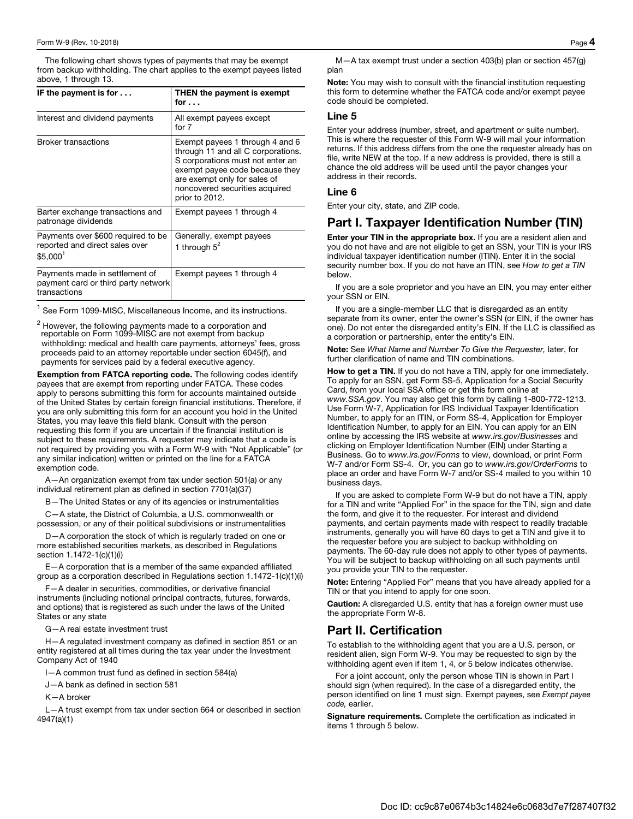The following chart shows types of payments that may be exempt from backup withholding. The chart applies to the exempt payees listed above, 1 through 13.

| IF the payment is for $\dots$                                                                | THEN the payment is exempt<br>for $\ldots$                                                                                                                                                                                      |
|----------------------------------------------------------------------------------------------|---------------------------------------------------------------------------------------------------------------------------------------------------------------------------------------------------------------------------------|
| Interest and dividend payments                                                               | All exempt payees except<br>for 7                                                                                                                                                                                               |
| <b>Broker transactions</b>                                                                   | Exempt payees 1 through 4 and 6<br>through 11 and all C corporations.<br>S corporations must not enter an<br>exempt payee code because they<br>are exempt only for sales of<br>noncovered securities acquired<br>prior to 2012. |
| Barter exchange transactions and<br>patronage dividends                                      | Exempt payees 1 through 4                                                                                                                                                                                                       |
| Payments over \$600 required to be<br>reported and direct sales over<br>\$5.000 <sup>1</sup> | Generally, exempt payees<br>1 through $5^2$                                                                                                                                                                                     |
| Payments made in settlement of<br>payment card or third party network<br>transactions        | Exempt payees 1 through 4                                                                                                                                                                                                       |

 $<sup>1</sup>$  See Form 1099-MISC, Miscellaneous Income, and its instructions.</sup>

 $^2$  However, the following payments made to a corporation and reportable on Form 1099-MISC are not exempt from backup withholding: medical and health care payments, attorneys' fees, gross proceeds paid to an attorney reportable under section 6045(f), and payments for services paid by a federal executive agency.

Exemption from FATCA reporting code. The following codes identify payees that are exempt from reporting under FATCA. These codes apply to persons submitting this form for accounts maintained outside of the United States by certain foreign financial institutions. Therefore, if you are only submitting this form for an account you hold in the United States, you may leave this field blank. Consult with the person requesting this form if you are uncertain if the financial institution is subject to these requirements. A requester may indicate that a code is not required by providing you with a Form W-9 with "Not Applicable" (or any similar indication) written or printed on the line for a FATCA exemption code.

A—An organization exempt from tax under section 501(a) or any individual retirement plan as defined in section 7701(a)(37)

B—The United States or any of its agencies or instrumentalities

C—A state, the District of Columbia, a U.S. commonwealth or possession, or any of their political subdivisions or instrumentalities

D—A corporation the stock of which is regularly traded on one or more established securities markets, as described in Regulations section 1.1472-1(c)(1)(i)

E—A corporation that is a member of the same expanded affiliated group as a corporation described in Regulations section 1.1472-1(c)(1)(i)

F—A dealer in securities, commodities, or derivative financial instruments (including notional principal contracts, futures, forwards, and options) that is registered as such under the laws of the United States or any state

G—A real estate investment trust

H—A regulated investment company as defined in section 851 or an entity registered at all times during the tax year under the Investment Company Act of 1940

I—A common trust fund as defined in section 584(a)

J—A bank as defined in section 581

K—A broker

L—A trust exempt from tax under section 664 or described in section 4947(a)(1)

M—A tax exempt trust under a section 403(b) plan or section 457(g) plan

Note: You may wish to consult with the financial institution requesting this form to determine whether the FATCA code and/or exempt payee code should be completed.

#### Line 5

Enter your address (number, street, and apartment or suite number). This is where the requester of this Form W-9 will mail your information returns. If this address differs from the one the requester already has on file, write NEW at the top. If a new address is provided, there is still a chance the old address will be used until the payor changes your address in their records.

#### Line 6

Enter your city, state, and ZIP code.

### Part I. Taxpayer Identification Number (TIN)

Enter your TIN in the appropriate box. If you are a resident alien and you do not have and are not eligible to get an SSN, your TIN is your IRS individual taxpayer identification number (ITIN). Enter it in the social security number box. If you do not have an ITIN, see How to get a TIN below.

If you are a sole proprietor and you have an EIN, you may enter either your SSN or EIN.

If you are a single-member LLC that is disregarded as an entity separate from its owner, enter the owner's SSN (or EIN, if the owner has one). Do not enter the disregarded entity's EIN. If the LLC is classified as a corporation or partnership, enter the entity's EIN.

Note: See What Name and Number To Give the Requester, later, for further clarification of name and TIN combinations.

How to get a TIN. If you do not have a TIN, apply for one immediately. To apply for an SSN, get Form SS-5, Application for a Social Security Card, from your local SSA office or get this form online at www.SSA.gov. You may also get this form by calling 1-800-772-1213. Use Form W-7, Application for IRS Individual Taxpayer Identification Number, to apply for an ITIN, or Form SS-4, Application for Employer Identification Number, to apply for an EIN. You can apply for an EIN online by accessing the IRS website at www.irs.gov/Businesses and clicking on Employer Identification Number (EIN) under Starting a Business. Go to www.irs.gov/Forms to view, download, or print Form W-7 and/or Form SS-4. Or, you can go to www.irs.gov/OrderForms to place an order and have Form W-7 and/or SS-4 mailed to you within 10 business days.

If you are asked to complete Form W-9 but do not have a TIN, apply for a TIN and write "Applied For" in the space for the TIN, sign and date the form, and give it to the requester. For interest and dividend payments, and certain payments made with respect to readily tradable instruments, generally you will have 60 days to get a TIN and give it to the requester before you are subject to backup withholding on payments. The 60-day rule does not apply to other types of payments. You will be subject to backup withholding on all such payments until you provide your TIN to the requester.

Note: Entering "Applied For" means that you have already applied for a TIN or that you intend to apply for one soon.

Caution: A disregarded U.S. entity that has a foreign owner must use the appropriate Form W-8.

### Part II. Certification

To establish to the withholding agent that you are a U.S. person, or resident alien, sign Form W-9. You may be requested to sign by the withholding agent even if item 1, 4, or 5 below indicates otherwise.

For a joint account, only the person whose TIN is shown in Part I should sign (when required). In the case of a disregarded entity, the person identified on line 1 must sign. Exempt payees, see Exempt payee code, earlier.

Signature requirements. Complete the certification as indicated in items 1 through 5 below.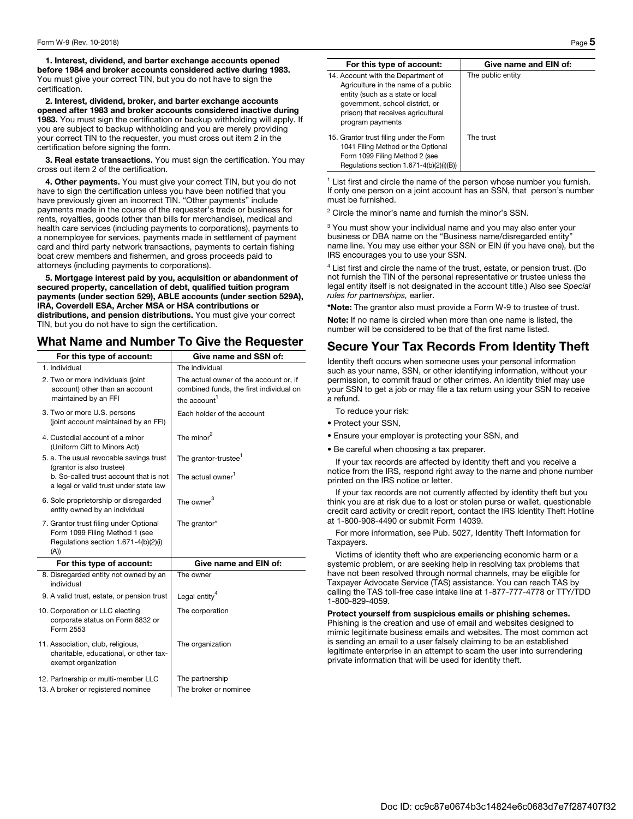1. Interest, dividend, and barter exchange accounts opened before 1984 and broker accounts considered active during 1983. You must give your correct TIN, but you do not have to sign the certification.

2. Interest, dividend, broker, and barter exchange accounts opened after 1983 and broker accounts considered inactive during 1983. You must sign the certification or backup withholding will apply. If you are subject to backup withholding and you are merely providing your correct TIN to the requester, you must cross out item 2 in the certification before signing the form.

3. Real estate transactions. You must sign the certification. You may cross out item 2 of the certification.

4. Other payments. You must give your correct TIN, but you do not have to sign the certification unless you have been notified that you have previously given an incorrect TIN. "Other payments" include payments made in the course of the requester's trade or business for rents, royalties, goods (other than bills for merchandise), medical and health care services (including payments to corporations), payments to a nonemployee for services, payments made in settlement of payment card and third party network transactions, payments to certain fishing boat crew members and fishermen, and gross proceeds paid to attorneys (including payments to corporations).

5. Mortgage interest paid by you, acquisition or abandonment of secured property, cancellation of debt, qualified tuition program payments (under section 529), ABLE accounts (under section 529A), IRA, Coverdell ESA, Archer MSA or HSA contributions or distributions, and pension distributions. You must give your correct TIN, but you do not have to sign the certification.

## What Name and Number To Give the Requester

| For this type of account:                                                                                                | Give name and SSN of:                                                                                         |
|--------------------------------------------------------------------------------------------------------------------------|---------------------------------------------------------------------------------------------------------------|
| 1. Individual                                                                                                            | The individual                                                                                                |
| 2. Two or more individuals (joint<br>account) other than an account<br>maintained by an FFI                              | The actual owner of the account or, if<br>combined funds, the first individual on<br>the account <sup>1</sup> |
| 3. Two or more U.S. persons<br>(joint account maintained by an FFI)                                                      | Each holder of the account                                                                                    |
| 4. Custodial account of a minor<br>(Uniform Gift to Minors Act)                                                          | The minor <sup>2</sup>                                                                                        |
| 5. a. The usual revocable savings trust<br>(grantor is also trustee)                                                     | The grantor-trustee <sup>1</sup>                                                                              |
| b. So-called trust account that is not<br>a legal or valid trust under state law                                         | The actual owner <sup>1</sup>                                                                                 |
| 6. Sole proprietorship or disregarded<br>entity owned by an individual                                                   | The owner $^3$                                                                                                |
| 7. Grantor trust filing under Optional<br>Form 1099 Filing Method 1 (see<br>Regulations section 1.671-4(b)(2)(i)<br>(A)) | The grantor*                                                                                                  |
| For this type of account:                                                                                                | Give name and EIN of:                                                                                         |
|                                                                                                                          |                                                                                                               |
| 8. Disregarded entity not owned by an<br>individual                                                                      | The owner                                                                                                     |
| 9. A valid trust, estate, or pension trust                                                                               | Legal entity <sup>4</sup>                                                                                     |
| 10. Corporation or LLC electing<br>corporate status on Form 8832 or<br>Form 2553                                         | The corporation                                                                                               |
| 11. Association, club, religious,<br>charitable, educational, or other tax-<br>exempt organization                       | The organization                                                                                              |
| 12. Partnership or multi-member LLC<br>13. A broker or registered nominee                                                | The partnership<br>The broker or nominee                                                                      |

| For this type of account:                                                                                                                                                                                  | Give name and EIN of: |
|------------------------------------------------------------------------------------------------------------------------------------------------------------------------------------------------------------|-----------------------|
| 14. Account with the Department of<br>Agriculture in the name of a public<br>entity (such as a state or local<br>government, school district, or<br>prison) that receives agricultural<br>program payments | The public entity     |
| 15. Grantor trust filing under the Form<br>1041 Filing Method or the Optional<br>Form 1099 Filing Method 2 (see<br>Regulations section 1.671-4(b)(2)(i)(B))                                                | The trust             |

<sup>1</sup> List first and circle the name of the person whose number you furnish. If only one person on a joint account has an SSN, that person's number must be furnished.

<sup>2</sup> Circle the minor's name and furnish the minor's SSN.

<sup>3</sup> You must show your individual name and you may also enter your business or DBA name on the "Business name/disregarded entity" name line. You may use either your SSN or EIN (if you have one), but the IRS encourages you to use your SSN.

4 List first and circle the name of the trust, estate, or pension trust. (Do not furnish the TIN of the personal representative or trustee unless the legal entity itself is not designated in the account title.) Also see Special rules for partnerships, earlier.

\*Note: The grantor also must provide a Form W-9 to trustee of trust.

Note: If no name is circled when more than one name is listed, the number will be considered to be that of the first name listed.

## Secure Your Tax Records From Identity Theft

Identity theft occurs when someone uses your personal information such as your name, SSN, or other identifying information, without your permission, to commit fraud or other crimes. An identity thief may use your SSN to get a job or may file a tax return using your SSN to receive a refund.

To reduce your risk:

- Protect your SSN,
- Ensure your employer is protecting your SSN, and
- Be careful when choosing a tax preparer.

If your tax records are affected by identity theft and you receive a notice from the IRS, respond right away to the name and phone number printed on the IRS notice or letter.

If your tax records are not currently affected by identity theft but you think you are at risk due to a lost or stolen purse or wallet, questionable credit card activity or credit report, contact the IRS Identity Theft Hotline at 1-800-908-4490 or submit Form 14039.

For more information, see Pub. 5027, Identity Theft Information for Taxpayers.

Victims of identity theft who are experiencing economic harm or a systemic problem, or are seeking help in resolving tax problems that have not been resolved through normal channels, may be eligible for Taxpayer Advocate Service (TAS) assistance. You can reach TAS by calling the TAS toll-free case intake line at 1-877-777-4778 or TTY/TDD 1-800-829-4059.

Protect yourself from suspicious emails or phishing schemes. Phishing is the creation and use of email and websites designed to mimic legitimate business emails and websites. The most common act is sending an email to a user falsely claiming to be an established legitimate enterprise in an attempt to scam the user into surrendering private information that will be used for identity theft.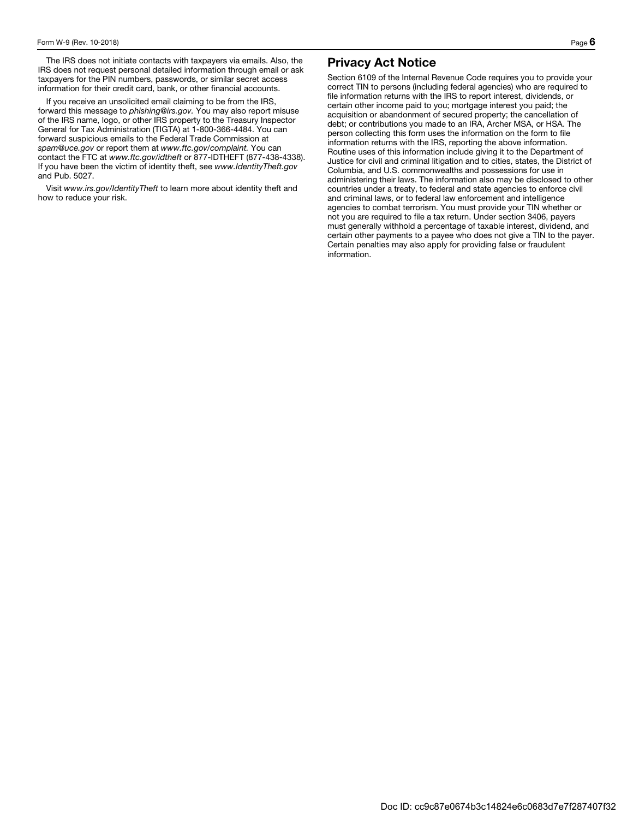The IRS does not initiate contacts with taxpayers via emails. Also, the IRS does not request personal detailed information through email or ask taxpayers for the PIN numbers, passwords, or similar secret access information for their credit card, bank, or other financial accounts.

If you receive an unsolicited email claiming to be from the IRS, forward this message to phishing@irs.gov. You may also report misuse of the IRS name, logo, or other IRS property to the Treasury Inspector General for Tax Administration (TIGTA) at 1-800-366-4484. You can forward suspicious emails to the Federal Trade Commission at spam@uce.gov or report them at www.ftc.gov/complaint. You can contact the FTC at www.ftc.gov/idtheft or 877-IDTHEFT (877-438-4338). If you have been the victim of identity theft, see www.IdentityTheft.gov and Pub. 5027.

Visit www.irs.gov/IdentityTheft to learn more about identity theft and how to reduce your risk.

## Privacy Act Notice

Section 6109 of the Internal Revenue Code requires you to provide your correct TIN to persons (including federal agencies) who are required to file information returns with the IRS to report interest, dividends, or certain other income paid to you; mortgage interest you paid; the acquisition or abandonment of secured property; the cancellation of debt; or contributions you made to an IRA, Archer MSA, or HSA. The person collecting this form uses the information on the form to file information returns with the IRS, reporting the above information. Routine uses of this information include giving it to the Department of Justice for civil and criminal litigation and to cities, states, the District of Columbia, and U.S. commonwealths and possessions for use in administering their laws. The information also may be disclosed to other countries under a treaty, to federal and state agencies to enforce civil and criminal laws, or to federal law enforcement and intelligence agencies to combat terrorism. You must provide your TIN whether or not you are required to file a tax return. Under section 3406, payers must generally withhold a percentage of taxable interest, dividend, and certain other payments to a payee who does not give a TIN to the payer. Certain penalties may also apply for providing false or fraudulent information.